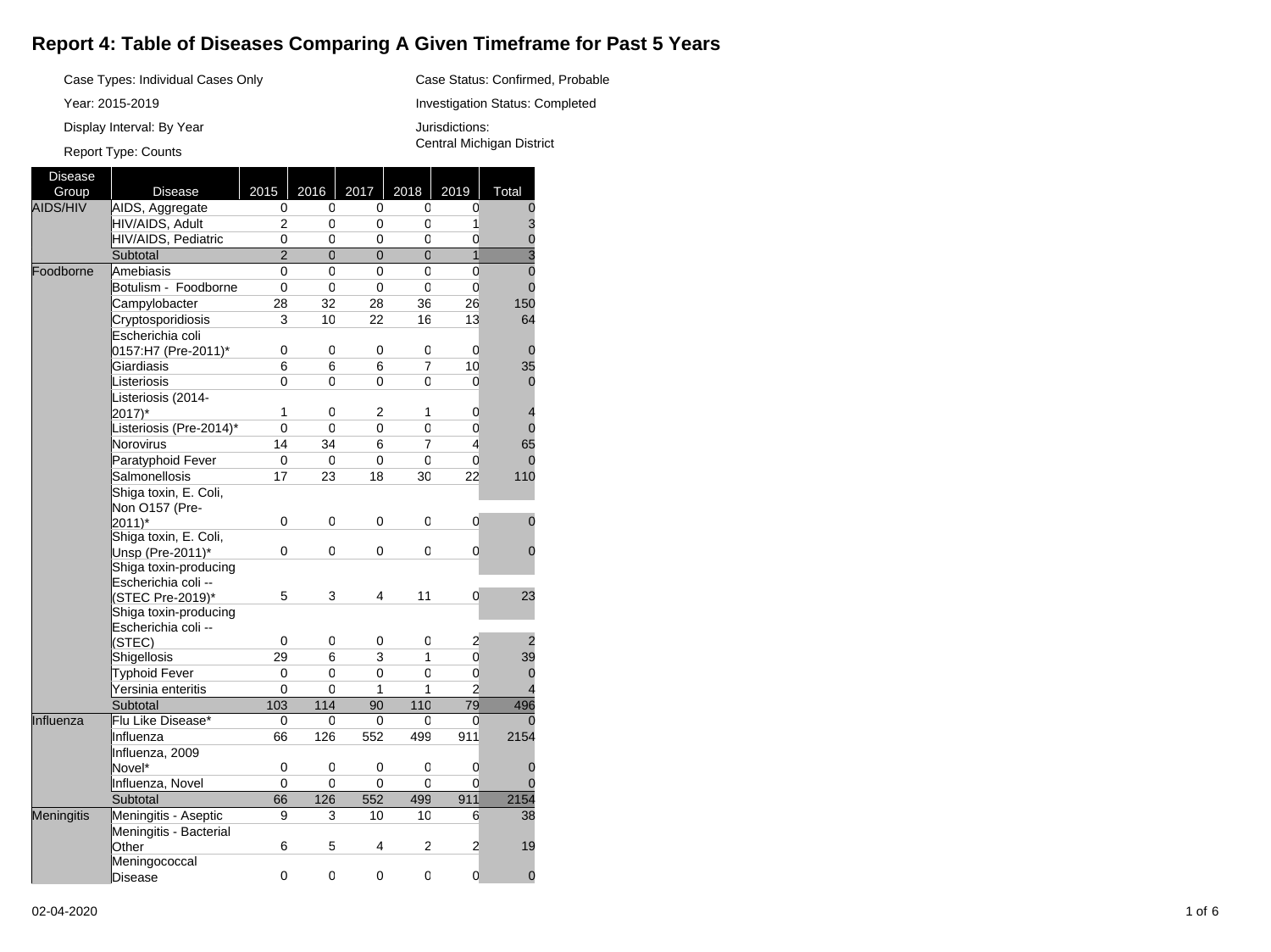## **Report 4: Table of Diseases Comparing A Given Timeframe for Past 5 Years**

Case Status: Confirmed, Probable Investigation Status: Completed

Jurisdictions:

Central Michigan District

Case Types: Individual Cases Only

Year: 2015-2019

Display Interval: By Year

## Report Type: Counts

Disease Group | Disease | 2015 | 2016 | 2017 | 2018 | 2019 | Total AIDS/HIV AIDS, Aggregate 0  $\overline{0}$  $\overline{0}$  $\overline{0}$  $\overline{0}$  $\Omega$ HIV/AIDS, Adult 2  $\overline{0}$  $\overline{0}$  $\overline{0}$ 1 3 HIV/AIDS, Pediatric 0 0 0 0 0 0 **Subtotal** 2 0 0  $\overline{0}$ 1 3 Foodborne Amebiasis  $\overline{0}$  $\overline{0}$  $\overline{0}$  $\overline{0}$  $\overline{0}$ 0 Botulism - Foodborne  $\overline{0}$  $\overline{0}$ 0  $\overline{0}$ 0  $\Omega$ Campylobacter 28 32 28 36 26 150 **Cryptosporidiosis** 3 10 22 16 13 64 Escherichia coli 0157:H7 (Pre-2011)\* 0 0 0 0 0 0 **Giardiasis** 6 6 6 7 10 35 **Listeriosis**  $\overline{0}$  $\overline{0}$ 0  $\overline{0}$  $\overline{0}$  $\Omega$ Listeriosis (2014- $|2017\rangle^*$ 1 0 2 1 0 4 Listeriosis (Pre-2014)\* 0 0 0 0  $\overline{0}$  $\overline{0}$ Norovirus 14 34  $6$ 7 4 65 Paratyphoid Fever 0 0 0 0 0 0 Salmonellosis 17 23 18 30 22 110 Shiga toxin, E. Coli, Non O157 (Pre- $|2011\rangle^*$ 0 0 0 0 0  $\Omega$ Shiga toxin, E. Coli, Unsp (Pre-2011)\* 0 0 0 0 0  $\Omega$ Shiga toxin-producing Escherichia coli -- (STEC Pre-2019)\* 5 3 4 11 0 23 Shiga toxin-producing Escherichia coli -- (STEC) 0 0 0 0 2 2 Shigellosis 29 6 3 1 0 39 Typhoid Fever  $\overline{0}$ 0 0  $\overline{0}$  $\overline{0}$  $\overline{0}$ Yersinia enteritis 0 0 1 1 2 4 Subtotal 103 114 90 110 79 496 Influenza Flu Like Disease\* 0  $\overline{0}$  $\overline{0}$  $\overline{0}$  $\overline{0}$  $\overline{c}$ Influenza 66 126 552 499 911 2154 Influenza, 2009 Novel\* 0 0 0 0 0 0 Influenza, Novel  $\overline{0}$  $\overline{0}$  $\overline{0}$  $\overline{0}$  $\Omega$  $\frac{0}{2154}$ Subtotal 66 126 552 499 911 Meningitis Meningitis - Aseptic 9 3 10 10 6 38 Meningitis - Bacterial **Other** 6 5 4 2 2 19 Meningococcal **Disease** 0 0 0 0 0  $\Omega$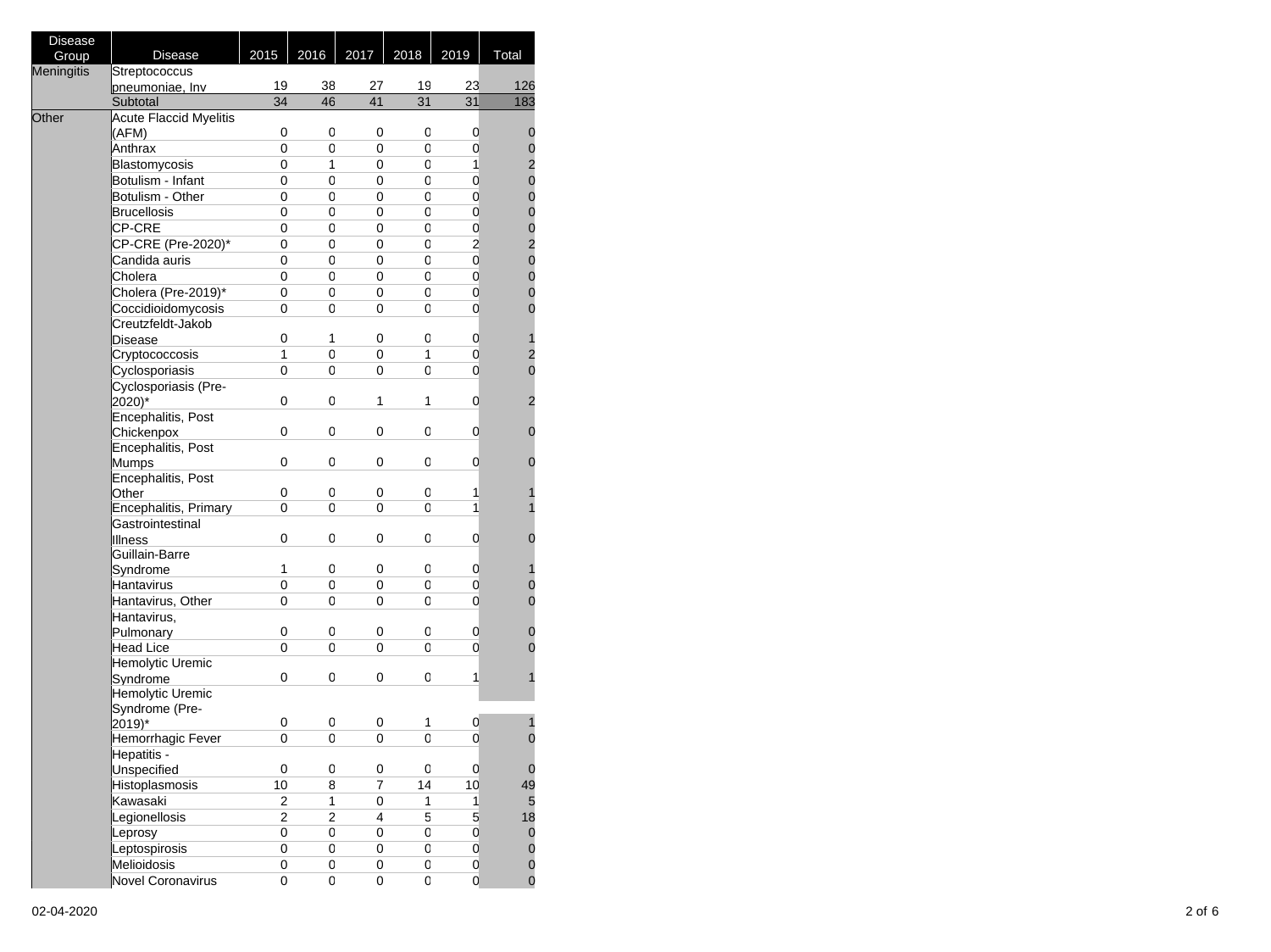| <b>Disease</b> |                               |                |      |                |      |                         |                                            |
|----------------|-------------------------------|----------------|------|----------------|------|-------------------------|--------------------------------------------|
| Group          | <b>Disease</b>                | 2015           | 2016 | 2017           | 2018 | 2019                    | Total                                      |
| Meningitis     | Streptococcus                 |                |      |                |      |                         |                                            |
|                | pneumoniae, Inv               | 19             | 38   | 27             | 19   | 23                      | 126                                        |
|                | Subtotal                      | 34             | 46   | 41             | 31   | 31                      | 183                                        |
| Other          | <b>Acute Flaccid Myelitis</b> |                |      |                |      |                         |                                            |
|                | (AFM)                         | 0              | 0    | 0              | 0    | 0                       | $\mathbf 0$                                |
|                | Anthrax                       | 0              | 0    | 0              | 0    | 0                       |                                            |
|                | Blastomycosis                 | 0              | 1    | 0              | 0    | $\mathbf{1}$            | $\begin{array}{c} 0 \\ 2 \\ 0 \end{array}$ |
|                | Botulism - Infant             | 0              | 0    | 0              | 0    | 0                       |                                            |
|                | Botulism - Other              | 0              | 0    | 0              | 0    | 0                       | $\mathbf{0}$                               |
|                | <b>Brucellosis</b>            | 0              | 0    | 0              | 0    | 0                       | 002000                                     |
|                | CP-CRE                        | 0              | 0    | 0              | 0    | 0                       |                                            |
|                | CP-CRE (Pre-2020)*            | 0              | 0    | 0              | 0    | $\overline{\mathbf{c}}$ |                                            |
|                | Candida auris                 | 0              | 0    | 0              | 0    | 0                       |                                            |
|                | Cholera                       | 0              | 0    | 0              | 0    | 0                       |                                            |
|                | Cholera (Pre-2019)*           | 0              | 0    | 0              | 0    | 0                       | $\mathbf 0$                                |
|                | Coccidioidomycosis            | 0              | 0    | 0              | 0    | 0                       | $\overline{0}$                             |
|                | Creutzfeldt-Jakob             |                |      |                |      |                         |                                            |
|                | Disease                       | 0              | 1    | 0              | 0    | 0                       | 1                                          |
|                | Cryptococcosis                | 1              | 0    | 0              | 1    | 0                       | $\overline{a}$                             |
|                | Cyclosporiasis                | 0              | 0    | 0              | 0    | 0                       | $\mathbf 0$                                |
|                | Cyclosporiasis (Pre-          |                |      |                |      |                         |                                            |
|                | 2020)*                        | 0              | 0    | 1              | 1    | 0                       | $\overline{2}$                             |
|                | Encephalitis, Post            |                |      |                |      |                         |                                            |
|                | Chickenpox                    | 0              | 0    | 0              | 0    | 0                       | 0                                          |
|                | Encephalitis, Post            |                |      |                |      |                         |                                            |
|                | <b>Mumps</b>                  | 0              | 0    | 0              | 0    | 0                       | 0                                          |
|                | Encephalitis, Post            |                |      |                |      |                         |                                            |
|                | Other                         | 0              | 0    | 0              | 0    | 1                       |                                            |
|                | Encephalitis, Primary         | 0              | 0    | 0              | 0    | 1                       |                                            |
|                | Gastrointestinal              |                |      |                |      |                         |                                            |
|                | <b>Illness</b>                | 0              | 0    | 0              | 0    | 0                       | 0                                          |
|                | Guillain-Barre                |                |      |                |      |                         |                                            |
|                | Syndrome                      | 1              | 0    | 0              | 0    | 0                       |                                            |
|                | Hantavirus                    | 0              | 0    | 0              | 0    | 0                       | $\mathbf{0}$                               |
|                | Hantavirus, Other             | 0              | 0    | 0              | 0    | 0                       | $\mathbf 0$                                |
|                | Hantavirus,                   |                |      |                |      |                         |                                            |
|                | Pulmonary                     | 0              | 0    | 0              | 0    | 0                       | 0                                          |
|                | <b>Head Lice</b>              | 0              | 0    | 0              | 0    | 0                       | 0                                          |
|                | Hemolytic Uremic              |                |      |                |      |                         |                                            |
|                | Syndrome                      | 0              | 0    | 0              | 0    | 1                       |                                            |
|                | Hemolytic Uremic              |                |      |                |      |                         |                                            |
|                | Syndrome (Pre-                | 0              | 0    | 0              | 1    |                         |                                            |
|                | 2019)*<br>Hemorrhagic Fever   | 0              | 0    | 0              | 0    | 0<br>0                  | $\mathbf 0$                                |
|                | Hepatitis -                   |                |      |                |      |                         |                                            |
|                | Unspecified                   | 0              | 0    | 0              | 0    | $\mathbf 0$             | $\mathbf 0$                                |
|                | Histoplasmosis                | 10             | 8    | $\overline{7}$ | 14   | 10                      | 49                                         |
|                | Kawasaki                      | 2              | 1    | 0              | 1    | 1                       | 5                                          |
|                | Legionellosis                 | $\overline{2}$ | 2    | 4              | 5    | 5                       | 18                                         |
|                | Leprosy                       | 0              | 0    | 0              | 0    | 0                       |                                            |
|                | Leptospirosis                 | 0              | 0    | 0              | 0    | 0                       | $\mathbf 0$                                |
|                | Melioidosis                   | 0              | 0    | 0              | 0    | 0                       | $\mathbf{0}$<br>$\mathbf 0$                |
|                | <b>Novel Coronavirus</b>      | 0              | 0    | $\mathsf 0$    | 0    | 0                       | $\mathbf 0$                                |
|                |                               |                |      |                |      |                         |                                            |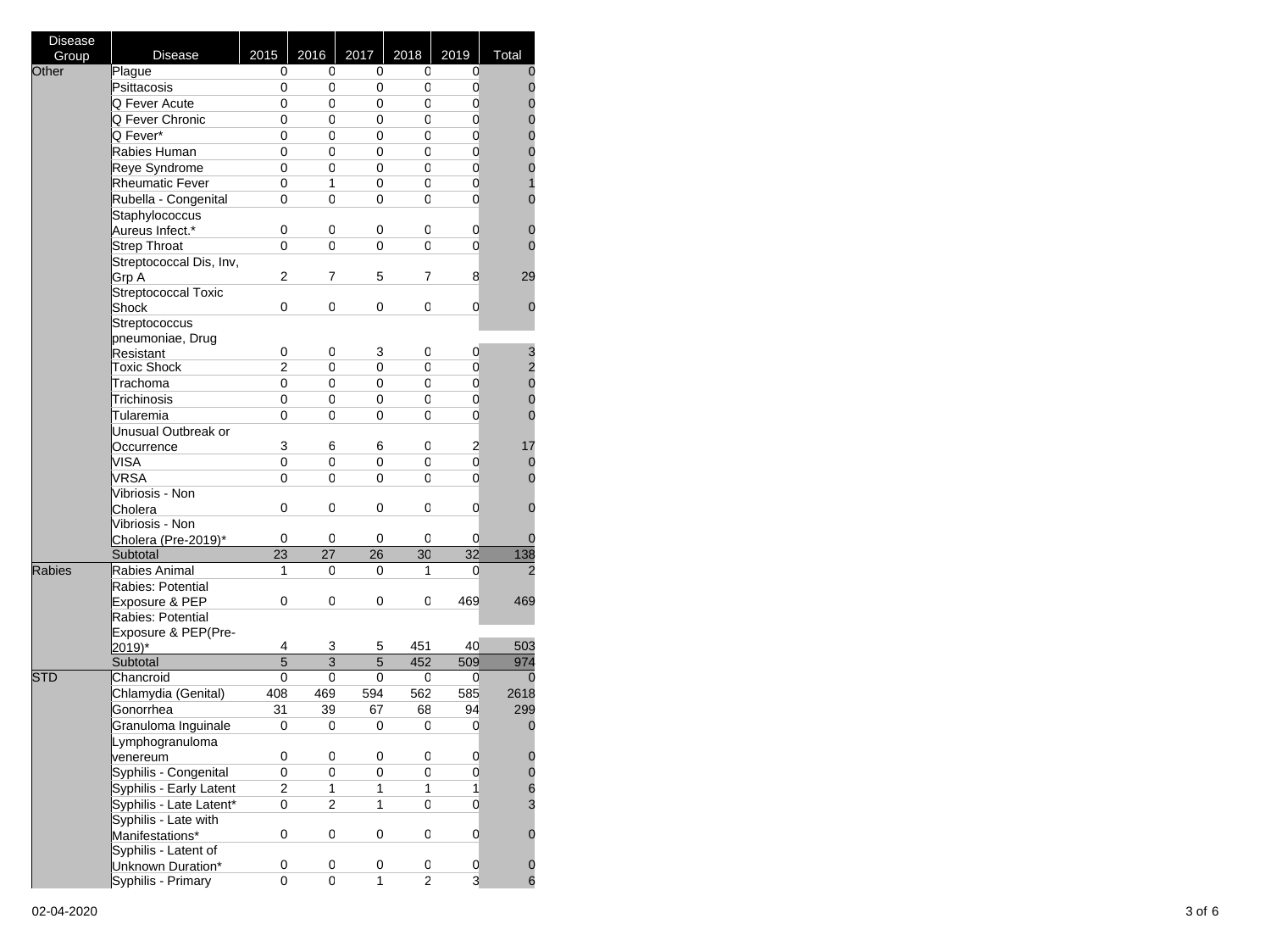| <b>Disease</b> |                         |                |                     |              |                         |                         |                                            |
|----------------|-------------------------|----------------|---------------------|--------------|-------------------------|-------------------------|--------------------------------------------|
| Group          | <b>Disease</b>          | 2015           | 2016                | 2017         | 2018                    | 2019                    | Total                                      |
| Other          | Plague                  | 0              | 0                   | 0            | 0                       | 0                       | 0                                          |
|                | Psittacosis             | 0              | 0                   | 0            | 0                       | $\mathbf 0$             | $\mathbf 0$                                |
|                | Q Fever Acute           | 0              | 0                   | 0            | 0                       | 0                       | $\mathbf{0}$                               |
|                | Q Fever Chronic         | 0              | 0                   | 0            | 0                       | $\mathbf 0$             |                                            |
|                | Q Fever*                | 0              | 0                   | 0            | 0                       | 0                       | $\begin{matrix}0\\0\end{matrix}$           |
|                | Rabies Human            | 0              | 0                   | 0            | 0                       | $\mathbf 0$             | $\mathbf{o}$                               |
|                | Reye Syndrome           | 0              | 0                   | 0            | 0                       | $\mathbf 0$             | $\mathbf{0}$                               |
|                | <b>Rheumatic Fever</b>  | 0              | 1                   | 0            | 0                       | 0                       | $\overline{\mathbf{1}}$                    |
|                | Rubella - Congenital    | 0              | 0                   | 0            | 0                       | 0                       | $\mathbf{0}$                               |
|                | Staphylococcus          |                |                     |              |                         |                         |                                            |
|                | Aureus Infect.*         | 0              | 0                   | 0            | 0                       | 0                       | $\mathbf 0$                                |
|                | <b>Strep Throat</b>     | 0              | 0                   | 0            | 0                       | 0                       | $\overline{0}$                             |
|                | Streptococcal Dis, Inv, |                |                     |              |                         |                         |                                            |
|                | Grp A                   | $\overline{2}$ | 7                   | 5            | 7                       | 8                       | 29                                         |
|                | Streptococcal Toxic     |                |                     |              |                         |                         |                                            |
|                | Shock                   | 0              | 0                   | 0            | 0                       | 0                       | 0                                          |
|                | Streptococcus           |                |                     |              |                         |                         |                                            |
|                | pneumoniae, Drug        |                |                     |              |                         |                         |                                            |
|                | Resistant               | 0              | 0                   | 3            | 0                       | 0                       |                                            |
|                | <b>Toxic Shock</b>      | 2              | 0                   | 0            | 0                       | 0                       | $\begin{array}{c} 3 \\ 2 \\ 0 \end{array}$ |
|                | Trachoma                | 0              | 0                   | 0            | 0                       | 0                       |                                            |
|                | Trichinosis             | 0              | 0                   | 0            | 0                       | 0                       | $\mathbf{0}$                               |
|                | Tularemia               | 0              | 0                   | 0            | 0                       | 0                       | $\overline{0}$                             |
|                | Unusual Outbreak or     |                |                     |              |                         |                         |                                            |
|                | Occurrence              | 3              | 6                   | 6            | 0                       | $\overline{\mathbf{c}}$ | 17                                         |
|                | VISA                    | 0              | 0                   | 0            | 0                       | 0                       |                                            |
|                |                         |                |                     |              |                         |                         | 0                                          |
|                | <b>VRSA</b>             | 0              | 0                   | 0            | 0                       | 0                       | $\mathbf 0$                                |
|                | Vibriosis - Non         |                |                     |              |                         |                         |                                            |
|                | Cholera                 | 0              | 0                   | 0            | 0                       | 0                       | $\mathbf 0$                                |
|                | Vibriosis - Non         |                |                     |              |                         |                         |                                            |
|                | Cholera (Pre-2019)*     | 0              | 0                   | 0            | 0                       | 0                       | 0                                          |
|                | Subtotal                | 23             | 27                  | 26           | 30                      | 32                      | 138                                        |
| <b>Rabies</b>  | Rabies Animal           | 1              | 0                   | 0            | 1                       | 0                       | 2                                          |
|                | Rabies: Potential       |                |                     |              |                         |                         |                                            |
|                | Exposure & PEP          | 0              | 0                   | 0            | 0                       | 469                     | 469                                        |
|                | Rabies: Potential       |                |                     |              |                         |                         |                                            |
|                | Exposure & PEP(Pre-     | 4              |                     |              | 451                     | 40                      | 503                                        |
|                | 2019)*                  | $\overline{5}$ | 3<br>$\overline{3}$ | 5<br>5       | 452                     | 509                     |                                            |
|                | Subtotal                |                |                     |              |                         |                         | 974                                        |
| <b>STD</b>     | Chancroid               | 0              | 0                   | 0            | 0                       | 0                       | 0                                          |
|                | Chlamydia (Genital)     | 408            | 469                 | 594          | 562                     | 585                     | 2618                                       |
|                | Gonorrhea               | 31             | 39                  | 67           | 68                      | 94                      | 299                                        |
|                | Granuloma Inguinale     | 0              | 0                   | 0            | 0                       | 0                       | 0                                          |
|                | Lymphogranuloma         |                |                     |              |                         |                         |                                            |
|                | venereum                | 0              | 0                   | 0            | 0                       | 0                       | 0                                          |
|                | Syphilis - Congenital   | 0              | 0                   | 0            | 0                       | 0                       | $\bf{0}$                                   |
|                | Syphilis - Early Latent | 2              | 1                   | 1            | 1                       | $\mathbf{1}$            | $\frac{6}{3}$                              |
|                | Syphilis - Late Latent* | 0              | $\overline{c}$      | $\mathbf{1}$ | 0                       | 0                       |                                            |
|                | Syphilis - Late with    |                |                     |              |                         |                         |                                            |
|                | Manifestations*         | 0              | 0                   | 0            | 0                       | 0                       | 0                                          |
|                | Syphilis - Latent of    |                |                     |              |                         |                         |                                            |
|                | Unknown Duration*       | 0              | 0                   | 0            | 0                       | 0                       | 0                                          |
|                | Syphilis - Primary      | 0              | 0                   | 1            | $\overline{\mathbf{c}}$ | 3                       | 6                                          |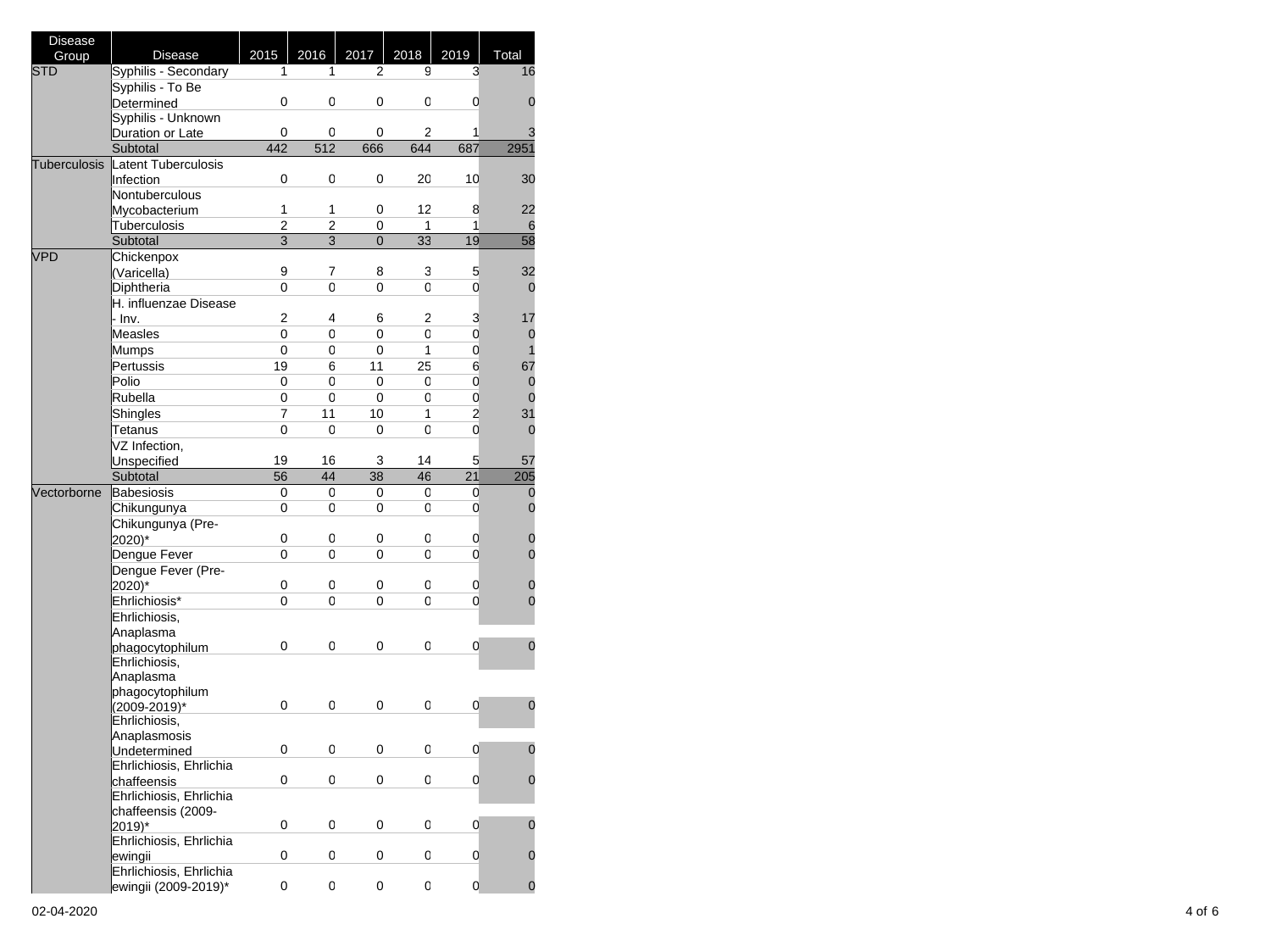| <b>Disease</b>      |                                        |                |      |                |      |                         |                |
|---------------------|----------------------------------------|----------------|------|----------------|------|-------------------------|----------------|
| Group               | <b>Disease</b>                         | 2015           | 2016 | 2017           | 2018 | 2019                    | Total          |
| <b>STD</b>          | Syphilis - Secondary                   | 1              | 1    | 2              | 9    | 3                       | 16             |
|                     | Syphilis - To Be                       |                |      |                |      |                         |                |
|                     | Determined                             | 0              | 0    | 0              | 0    | 0                       | 0              |
|                     | Syphilis - Unknown                     |                |      |                |      |                         |                |
|                     | Duration or Late                       | 0              | 0    | 0              | 2    | 1                       | 3              |
|                     | Subtotal                               | 442            | 512  | 666            | 644  | 687                     | 2951           |
| <b>Tuberculosis</b> | Latent Tuberculosis                    |                |      |                |      |                         |                |
|                     | Infection                              | 0              | 0    | 0              | 20   | 10                      | 30             |
|                     | Nontuberculous                         |                |      |                |      |                         |                |
|                     | Mycobacterium                          | 1              | 1    | 0              | 12   | 8                       | 22             |
|                     | Tuberculosis                           | 2              | 2    | 0              | 1    | 1                       | 6              |
|                     | Subtotal                               | $\overline{3}$ | 3    | $\overline{0}$ | 33   | 19                      | 58             |
| <b>VPD</b>          | Chickenpox                             |                |      |                |      |                         |                |
|                     | (Varicella)                            | 9              | 7    | 8              | 3    | 5                       | 32             |
|                     | Diphtheria                             | 0              | 0    | 0              | 0    | $\overline{0}$          | $\overline{0}$ |
|                     | H. influenzae Disease                  |                |      |                |      |                         |                |
|                     | · Inv.                                 | 2              | 4    | 6              | 2    | 3                       | 17             |
|                     | Measles                                | 0              | 0    | 0              | 0    | $\mathbf 0$             | 0              |
|                     | Mumps                                  | 0              | 0    | 0              | 1    | $\mathbf 0$             | 1              |
|                     | Pertussis                              | 19             | 6    | 11             | 25   | 6                       | 67             |
|                     | Polio                                  | 0              | 0    | 0              | 0    | $\mathbf 0$             | 0              |
|                     | Rubella                                | 0              | 0    | 0              | 0    | $\mathbf 0$             | $\overline{0}$ |
|                     | Shingles                               | $\overline{7}$ | 11   | 10             | 1    | $\overline{\mathbf{c}}$ | 31             |
|                     | Tetanus                                | 0              | 0    | 0              | 0    | $\overline{0}$          | 0              |
|                     | $\overline{VZ}$ Infection,             |                |      |                |      |                         |                |
|                     | <b>Unspecified</b>                     | 19             | 16   | 3              | 14   | 5                       | 57             |
|                     | Subtotal                               | 56             | 44   | 38             | 46   | 21                      | 205            |
| Vectorborne         | Babesiosis                             | 0              | 0    | 0              | 0    | 0                       | $\mathbf 0$    |
|                     | Chikungunya                            | 0              | 0    | 0              | 0    | 0                       | $\overline{0}$ |
|                     | Chikungunya (Pre-                      |                |      |                |      |                         |                |
|                     | 2020)*                                 | 0              | 0    | 0              | 0    | 0                       | $\mathbf 0$    |
|                     | Dengue Fever                           | 0              | 0    | 0              | 0    | 0                       | $\overline{0}$ |
|                     | Dengue Fever (Pre-                     |                |      |                |      |                         |                |
|                     | 2020)*                                 | 0              | 0    | 0              | 0    | 0                       | 0              |
|                     | Ehrlichiosis*                          | 0              | 0    | 0              | 0    | 0                       | 0              |
|                     | Ehrlichiosis,                          |                |      |                |      |                         |                |
|                     | Anaplasma                              |                |      |                |      |                         |                |
|                     | phagocytophilum                        | 0              | 0    | 0              | 0    | 0                       | $\overline{0}$ |
|                     | Ehrlichiosis,                          |                |      |                |      |                         |                |
|                     | Anaplasma                              |                |      |                |      |                         |                |
|                     | phagocytophilum                        |                |      |                |      |                         |                |
|                     | (2009-2019)*                           | 0              | 0    | 0              | 0    | 0                       | 0              |
|                     | Ehrlichiosis,                          |                |      |                |      |                         |                |
|                     | Anaplasmosis                           |                |      |                |      |                         |                |
|                     | Undetermined                           | 0              | 0    | 0              | 0    | $\mathbf{0}$            | U              |
|                     | Ehrlichiosis, Ehrlichia<br>chaffeensis | 0              | 0    | 0              | 0    | 0                       | $\mathbf 0$    |
|                     |                                        |                |      |                |      |                         |                |
|                     | Ehrlichiosis, Ehrlichia                |                |      |                |      |                         |                |
|                     | chaffeensis (2009-<br>2019)*           | 0              | 0    | 0              | 0    | 0                       | 0              |
|                     | Ehrlichiosis, Ehrlichia                |                |      |                |      |                         |                |
|                     | ewingii                                | 0              | 0    | 0              | 0    | 0                       | 0              |
|                     | Ehrlichiosis, Ehrlichia                |                |      |                |      |                         |                |
|                     | ewingii (2009-2019)*                   | 0              | 0    | 0              | 0    | 0                       | $\mathbf 0$    |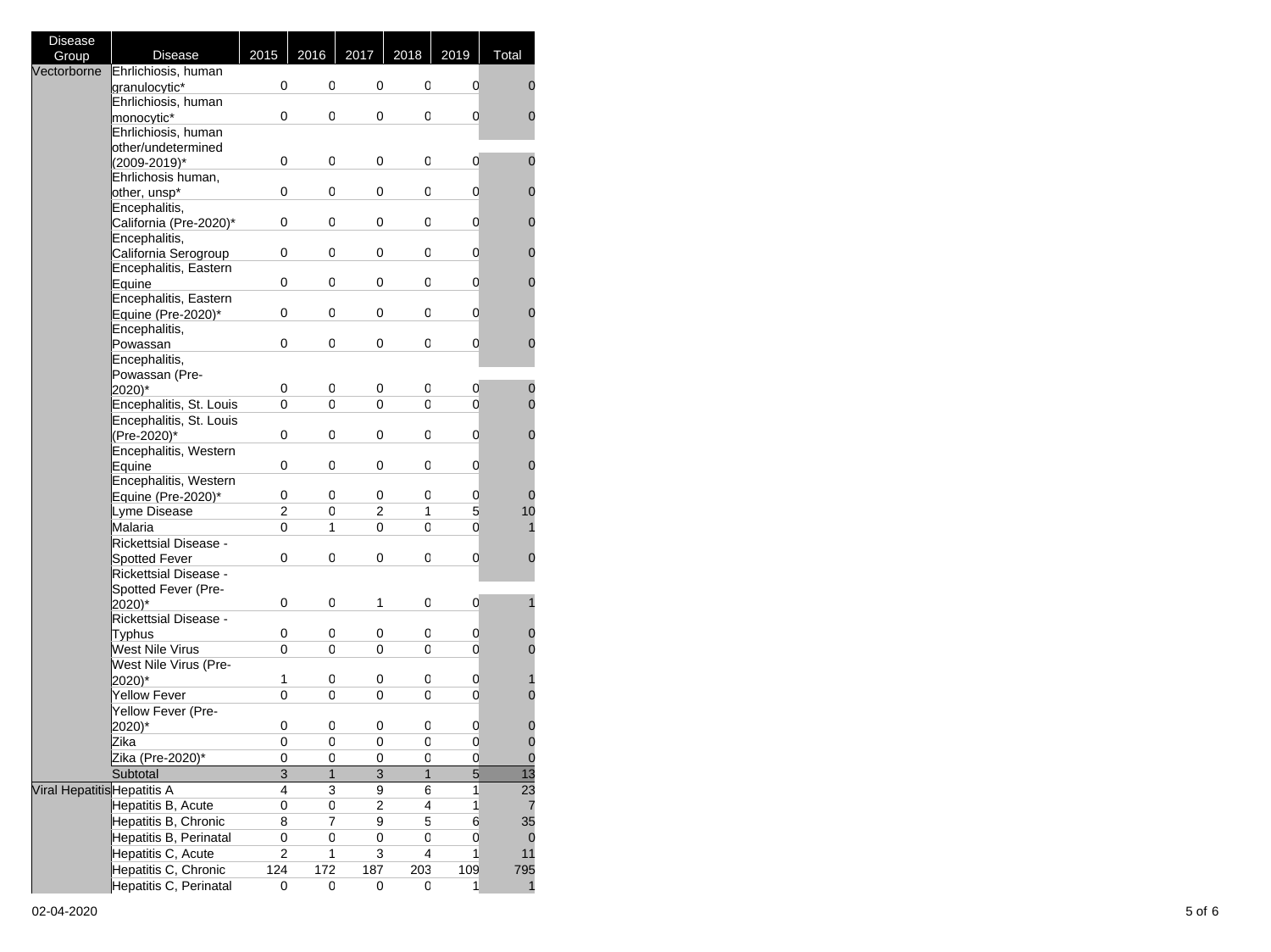| <b>Disease</b>              |                              |                |              |                |              |                         |                 |
|-----------------------------|------------------------------|----------------|--------------|----------------|--------------|-------------------------|-----------------|
| Group                       | <b>Disease</b>               | 2015           | 2016         | 2017           | 2018         | 2019                    | Total           |
| Vectorborne                 | Ehrlichiosis, human          |                |              |                |              |                         |                 |
|                             | granulocytic*                | 0              | 0            | 0              | 0            | 0                       | 0               |
|                             | Ehrlichiosis, human          |                |              |                |              |                         |                 |
|                             | monocytic*                   | 0              | 0            | 0              | 0            | 0                       | 0               |
|                             | Ehrlichiosis, human          |                |              |                |              |                         |                 |
|                             | other/undetermined           |                |              |                |              |                         |                 |
|                             | (2009-2019)*                 | 0              | 0            | 0              | 0            | 0                       | 0               |
|                             | Ehrlichosis human,           |                |              |                |              |                         |                 |
|                             | other, unsp*                 | 0              | 0            | 0              | 0            | 0                       | 0               |
|                             | Encephalitis,                |                |              |                |              |                         |                 |
|                             | California (Pre-2020)*       | 0              | 0            | 0              | 0            | 0                       | 0               |
|                             | Encephalitis,                |                |              |                |              |                         |                 |
|                             | California Serogroup         | 0              | 0            | 0              | 0            | 0                       | 0               |
|                             | Encephalitis, Eastern        |                |              |                |              |                         |                 |
|                             | Equine                       | 0              | 0            | 0              | 0            | 0                       | 0               |
|                             | Encephalitis, Eastern        |                |              |                |              |                         |                 |
|                             | Equine (Pre-2020)*           | 0              | 0            | 0              | 0            | 0                       | 0               |
|                             | Encephalitis,                |                |              |                |              |                         |                 |
|                             | Powassan                     | 0              | 0            | 0              | 0            | 0                       | 0               |
|                             | Encephalitis,                |                |              |                |              |                         |                 |
|                             | Powassan (Pre-               |                |              |                |              |                         |                 |
|                             | 2020)*                       | 0              | 0            | 0              | 0            | 0                       | 0               |
|                             | Encephalitis, St. Louis      | 0              | 0            | 0              | 0            | 0                       | 0               |
|                             | Encephalitis, St. Louis      |                |              |                |              |                         |                 |
|                             | (Pre-2020)*                  | 0              | 0            | 0              | 0            | 0                       | 0               |
|                             | Encephalitis, Western        |                |              |                |              |                         |                 |
|                             | Equine                       | 0              | 0            | 0              | 0            | 0                       | 0               |
|                             | Encephalitis, Western        |                |              |                |              |                         |                 |
|                             | Equine (Pre-2020)*           | 0              | 0            | 0              | 0            | 0                       | 0               |
|                             | Lyme Disease                 | 2              | 0            | 2              | 1            | 5                       | 10              |
|                             | Malaria                      | 0              | 1            | 0              | 0            | 0                       | 1               |
|                             | <b>Rickettsial Disease -</b> |                |              |                |              |                         |                 |
|                             | Spotted Fever                | 0              | 0            | 0              | 0            | 0                       | 0               |
|                             | <b>Rickettsial Disease -</b> |                |              |                |              |                         |                 |
|                             | Spotted Fever (Pre-          |                |              |                |              |                         |                 |
|                             | 2020)*                       | 0              | 0            | 1              | 0            | 0                       | 1               |
|                             | <b>Rickettsial Disease -</b> |                |              |                |              |                         |                 |
|                             | <b>Typhus</b>                | 0              | 0            | 0              | 0            | 0                       | 0               |
|                             | West Nile Virus              | 0              | 0            | 0              | 0            | 0                       | 0               |
|                             | West Nile Virus (Pre-        |                |              |                |              |                         |                 |
|                             | 2020)*                       | 1              | 0            | 0              | 0            | 0                       | 1               |
|                             | Yellow Fever                 | 0              | 0            | 0              | 0            | 0                       | $\overline{0}$  |
|                             | Yellow Fever (Pre-           |                |              |                |              |                         |                 |
|                             | 2020)*                       | 0              | 0            | 0              | 0            | 0                       | 0               |
|                             | Zika                         | 0              | 0            | 0              | 0            | $\overline{0}$          | $\overline{0}$  |
|                             | Zika (Pre-2020)*             | 0              | 0            | 0              | 0            | 0                       | $\mathbf 0$     |
|                             | Subtotal                     | $\overline{3}$ | $\mathbf{1}$ | $\overline{3}$ | $\mathbf{1}$ | $\overline{5}$          | $\overline{13}$ |
| Viral Hepatitis Hepatitis A |                              | 4              | 3            | 9              | 6            | 1                       | 23              |
|                             | Hepatitis B, Acute           | 0              | 0            | $\overline{2}$ | 4            | $\overline{\mathbf{1}}$ | 7               |
|                             | Hepatitis B, Chronic         | 8              | 7            | 9              | 5            | 6                       | 35              |
|                             | Hepatitis B, Perinatal       | 0              | 0            | 0              | 0            | $\mathbf 0$             |                 |
|                             | Hepatitis C, Acute           | 2              | 1            | 3              | 4            | 1                       | 0<br>11         |
|                             |                              |                |              |                |              |                         |                 |
|                             | Hepatitis C, Chronic         | 124            | 172          | 187            | 203          | 109                     | 795             |
|                             | Hepatitis C, Perinatal       | 0              | 0            | 0              | 0            | 1                       | 1               |